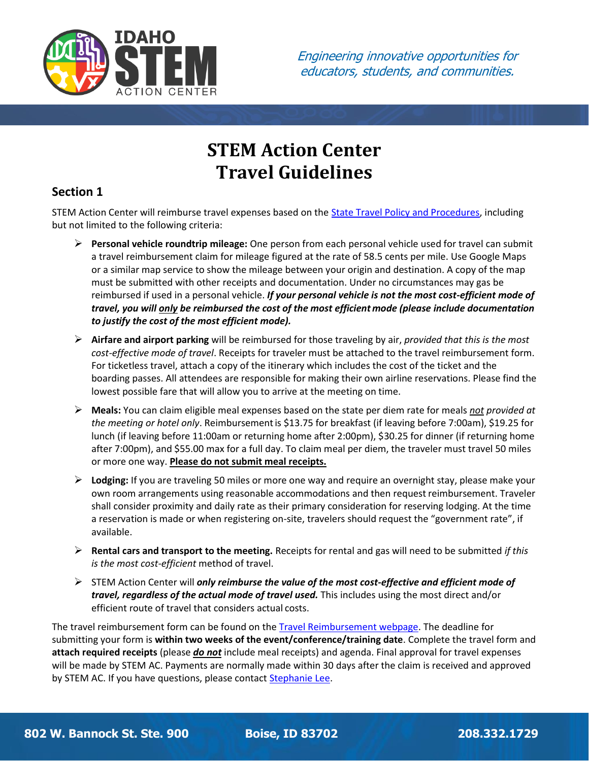

# **STEM Action Center Travel Guidelines**

# **Section 1**

STEM Action Center will reimburse travel expenses based on the [State Travel Policy and Procedures,](https://www.sco.idaho.gov/LivePages/state-travel-policy-and-procedures.aspx) including but not limited to the following criteria:

- ➢ **Personal vehicle roundtrip mileage:** One person from each personal vehicle used for travel can submit a travel reimbursement claim for mileage figured at the rate of 58.5 cents per mile. Use Google Maps or a similar map service to show the mileage between your origin and destination. A copy of the map must be submitted with other receipts and documentation. Under no circumstances may gas be reimbursed if used in a personal vehicle. *If your personal vehicle is not the most cost-efficient mode of travel, you will only be reimbursed the cost of the most efficient mode (please include documentation to justify the cost of the most efficient mode).*
- ➢ **Airfare and airport parking** will be reimbursed for those traveling by air, *provided that this is the most cost-effective mode of travel*. Receipts for traveler must be attached to the travel reimbursement form. For ticketless travel, attach a copy of the itinerary which includes the cost of the ticket and the boarding passes. All attendees are responsible for making their own airline reservations. Please find the lowest possible fare that will allow you to arrive at the meeting on time.
- ➢ **Meals:** You can claim eligible meal expenses based on the state per diem rate for meals *not provided at the meeting or hotel only*. Reimbursementis \$13.75 for breakfast (if leaving before 7:00am), \$19.25 for lunch (if leaving before 11:00am or returning home after 2:00pm), \$30.25 for dinner (if returning home after 7:00pm), and \$55.00 max for a full day. To claim meal per diem, the traveler must travel 50 miles or more one way. **Please do not submit meal receipts.**
- ➢ **Lodging:** If you are traveling 50 miles or more one way and require an overnight stay, please make your own room arrangements using reasonable accommodations and then request reimbursement. Traveler shall consider proximity and daily rate as their primary consideration for reserving lodging. At the time a reservation is made or when registering on-site, travelers should request the "government rate", if available.
- ➢ **Rental cars and transport to the meeting.** Receipts for rental and gas will need to be submitted *if this is the most cost-efficient* method of travel.
- ➢ STEM Action Center will *only reimburse the value of the most cost-effective and efficient mode of travel, regardless of the actual mode of travel used.* This includes using the most direct and/or efficient route of travel that considers actual costs.

The travel reimbursement form can be found on the [Travel Reimbursement webpage.](https://stem.idaho.gov/apply/travel/) The deadline for submitting your form is **within two weeks of the event/conference/training date**. Complete the travel form and **attach required receipts** (please *do not* include meal receipts) and agenda. Final approval for travel expenses will be made by STEM AC. Payments are normally made within 30 days after the claim is received and approved by STEM AC. If you have questions, please contact [Stephanie Lee.](mailto:stephanie.lee@stem.idaho.gov)